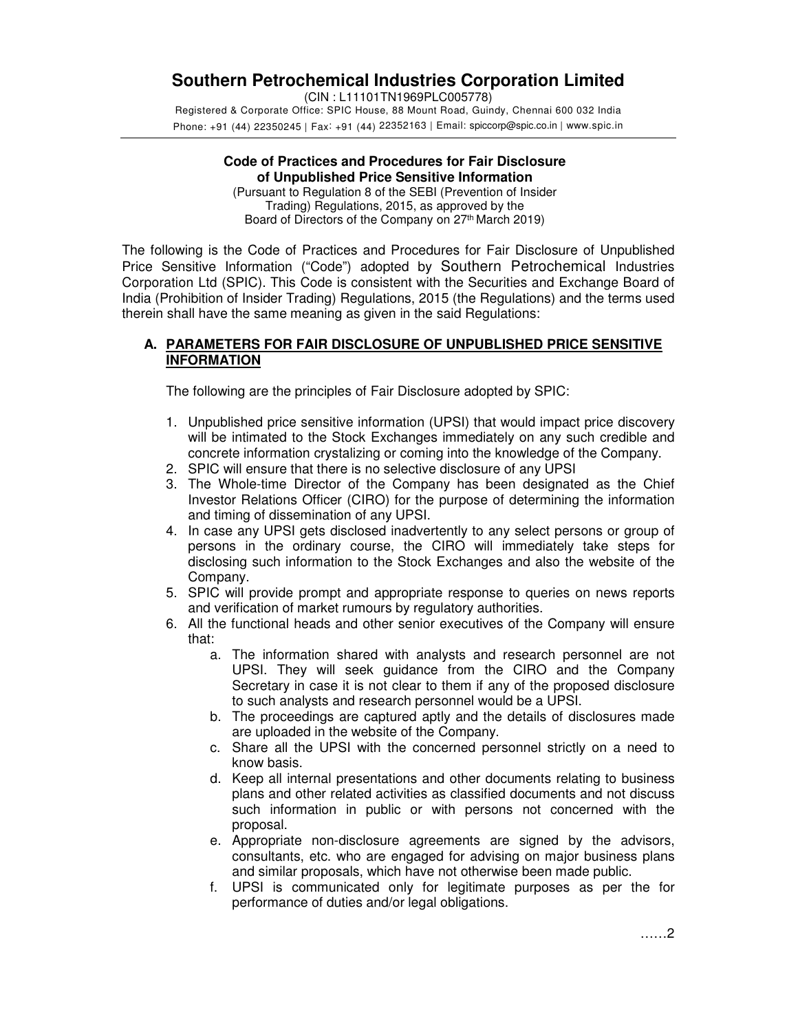# **Southern Petrochemical Industries Corporation Limited**

(CIN : L11101TN1969PLC005778) Registered & Corporate Office: SPIC House, 88 Mount Road, Guindy, Chennai 600 032 India Phone: +91 (44) 22350245 | Fax: +91 (44) 22352163 | Email: spiccorp@spic.co.in | www.spic.in

#### **Code of Practices and Procedures for Fair Disclosure of Unpublished Price Sensitive Information**

(Pursuant to Regulation 8 of the SEBI (Prevention of Insider Trading) Regulations, 2015, as approved by the Board of Directors of the Company on 27<sup>th</sup> March 2019)

The following is the Code of Practices and Procedures for Fair Disclosure of Unpublished Price Sensitive Information ("Code") adopted by Southern Petrochemical Industries Corporation Ltd (SPIC). This Code is consistent with the Securities and Exchange Board of India (Prohibition of Insider Trading) Regulations, 2015 (the Regulations) and the terms used therein shall have the same meaning as given in the said Regulations:

# **A. PARAMETERS FOR FAIR DISCLOSURE OF UNPUBLISHED PRICE SENSITIVE INFORMATION**

The following are the principles of Fair Disclosure adopted by SPIC:

- 1. Unpublished price sensitive information (UPSI) that would impact price discovery will be intimated to the Stock Exchanges immediately on any such credible and concrete information crystalizing or coming into the knowledge of the Company.
- 2. SPIC will ensure that there is no selective disclosure of any UPSI
- 3. The Whole-time Director of the Company has been designated as the Chief Investor Relations Officer (CIRO) for the purpose of determining the information and timing of dissemination of any UPSI.
- 4. In case any UPSI gets disclosed inadvertently to any select persons or group of persons in the ordinary course, the CIRO will immediately take steps for disclosing such information to the Stock Exchanges and also the website of the Company.
- 5. SPIC will provide prompt and appropriate response to queries on news reports and verification of market rumours by regulatory authorities.
- 6. All the functional heads and other senior executives of the Company will ensure that:
	- a. The information shared with analysts and research personnel are not UPSI. They will seek guidance from the CIRO and the Company Secretary in case it is not clear to them if any of the proposed disclosure to such analysts and research personnel would be a UPSI.
	- b. The proceedings are captured aptly and the details of disclosures made are uploaded in the website of the Company.
	- c. Share all the UPSI with the concerned personnel strictly on a need to know basis.
	- d. Keep all internal presentations and other documents relating to business plans and other related activities as classified documents and not discuss such information in public or with persons not concerned with the proposal.
	- e. Appropriate non-disclosure agreements are signed by the advisors, consultants, etc. who are engaged for advising on major business plans and similar proposals, which have not otherwise been made public.
	- f. UPSI is communicated only for legitimate purposes as per the for performance of duties and/or legal obligations.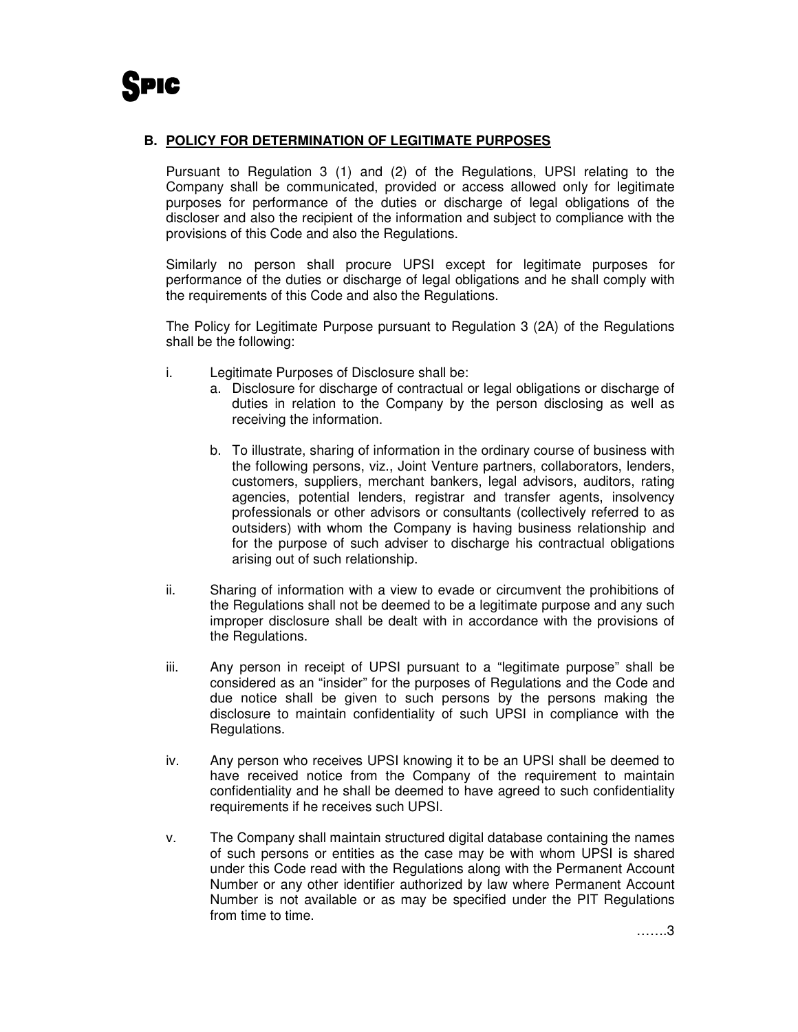## **B. POLICY FOR DETERMINATION OF LEGITIMATE PURPOSES**

Pursuant to Regulation 3 (1) and (2) of the Regulations, UPSI relating to the Company shall be communicated, provided or access allowed only for legitimate purposes for performance of the duties or discharge of legal obligations of the discloser and also the recipient of the information and subject to compliance with the provisions of this Code and also the Regulations.

Similarly no person shall procure UPSI except for legitimate purposes for performance of the duties or discharge of legal obligations and he shall comply with the requirements of this Code and also the Regulations.

The Policy for Legitimate Purpose pursuant to Regulation 3 (2A) of the Regulations shall be the following:

- i. Legitimate Purposes of Disclosure shall be:
	- a. Disclosure for discharge of contractual or legal obligations or discharge of duties in relation to the Company by the person disclosing as well as receiving the information.
	- b. To illustrate, sharing of information in the ordinary course of business with the following persons, viz., Joint Venture partners, collaborators, lenders, customers, suppliers, merchant bankers, legal advisors, auditors, rating agencies, potential lenders, registrar and transfer agents, insolvency professionals or other advisors or consultants (collectively referred to as outsiders) with whom the Company is having business relationship and for the purpose of such adviser to discharge his contractual obligations arising out of such relationship.
- ii. Sharing of information with a view to evade or circumvent the prohibitions of the Regulations shall not be deemed to be a legitimate purpose and any such improper disclosure shall be dealt with in accordance with the provisions of the Regulations.
- iii. Any person in receipt of UPSI pursuant to a "legitimate purpose" shall be considered as an "insider" for the purposes of Regulations and the Code and due notice shall be given to such persons by the persons making the disclosure to maintain confidentiality of such UPSI in compliance with the Regulations.
- iv. Any person who receives UPSI knowing it to be an UPSI shall be deemed to have received notice from the Company of the requirement to maintain confidentiality and he shall be deemed to have agreed to such confidentiality requirements if he receives such UPSI.
- v. The Company shall maintain structured digital database containing the names of such persons or entities as the case may be with whom UPSI is shared under this Code read with the Regulations along with the Permanent Account Number or any other identifier authorized by law where Permanent Account Number is not available or as may be specified under the PIT Regulations from time to time.

…….3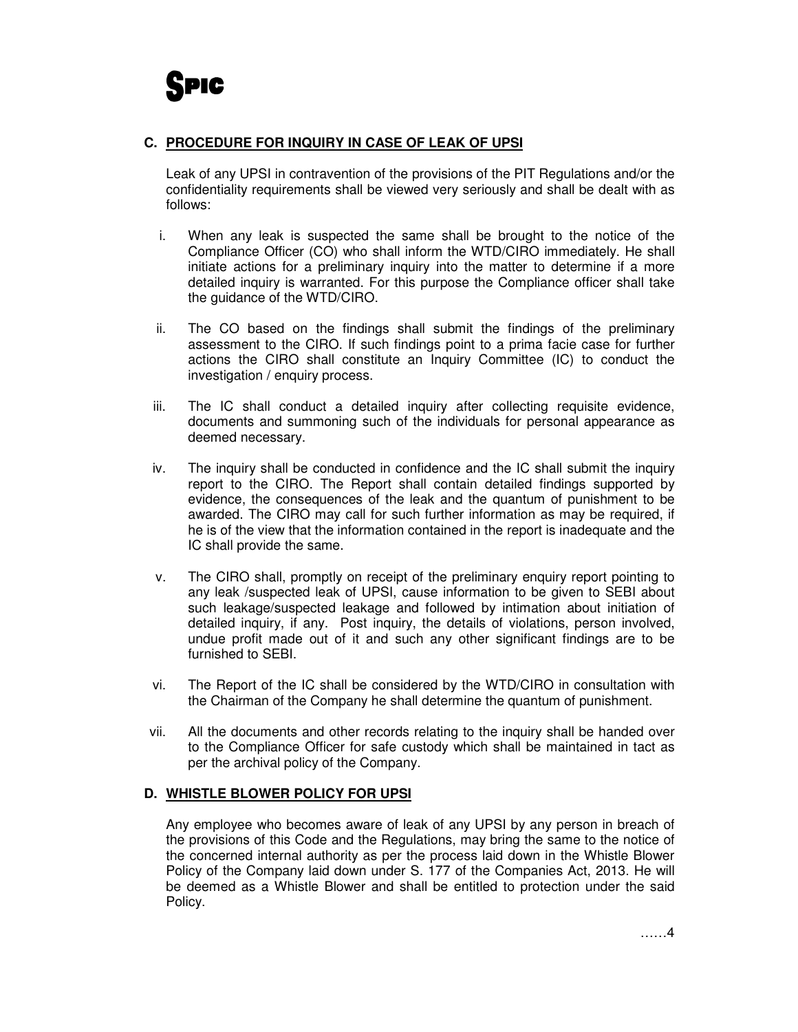## **C. PROCEDURE FOR INQUIRY IN CASE OF LEAK OF UPSI**

Leak of any UPSI in contravention of the provisions of the PIT Regulations and/or the confidentiality requirements shall be viewed very seriously and shall be dealt with as follows:

- i. When any leak is suspected the same shall be brought to the notice of the Compliance Officer (CO) who shall inform the WTD/CIRO immediately. He shall initiate actions for a preliminary inquiry into the matter to determine if a more detailed inquiry is warranted. For this purpose the Compliance officer shall take the guidance of the WTD/CIRO.
- ii. The CO based on the findings shall submit the findings of the preliminary assessment to the CIRO. If such findings point to a prima facie case for further actions the CIRO shall constitute an Inquiry Committee (IC) to conduct the investigation / enquiry process.
- iii. The IC shall conduct a detailed inquiry after collecting requisite evidence, documents and summoning such of the individuals for personal appearance as deemed necessary.
- iv. The inquiry shall be conducted in confidence and the IC shall submit the inquiry report to the CIRO. The Report shall contain detailed findings supported by evidence, the consequences of the leak and the quantum of punishment to be awarded. The CIRO may call for such further information as may be required, if he is of the view that the information contained in the report is inadequate and the IC shall provide the same.
- v. The CIRO shall, promptly on receipt of the preliminary enquiry report pointing to any leak /suspected leak of UPSI, cause information to be given to SEBI about such leakage/suspected leakage and followed by intimation about initiation of detailed inquiry, if any. Post inquiry, the details of violations, person involved, undue profit made out of it and such any other significant findings are to be furnished to SEBI.
- vi. The Report of the IC shall be considered by the WTD/CIRO in consultation with the Chairman of the Company he shall determine the quantum of punishment.
- vii. All the documents and other records relating to the inquiry shall be handed over to the Compliance Officer for safe custody which shall be maintained in tact as per the archival policy of the Company.

#### **D. WHISTLE BLOWER POLICY FOR UPSI**

Any employee who becomes aware of leak of any UPSI by any person in breach of the provisions of this Code and the Regulations, may bring the same to the notice of the concerned internal authority as per the process laid down in the Whistle Blower Policy of the Company laid down under S. 177 of the Companies Act, 2013. He will be deemed as a Whistle Blower and shall be entitled to protection under the said Policy.